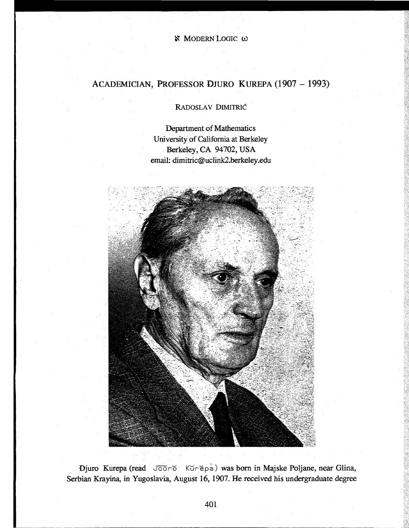## ACADEMICIAN, PROFESSOR DJURO KUREPA (1907 - 1993)

RADOSLAV DIMITRIĆ

Department of Mathematics University of California at Berkeley Berkeley, CA 94702, USA email: dimitric@uclink2.berkeley.edu



Djuro Kurepa (read Jooro Kurepa) was born in Majske Poljane, near Glina, Serbian Krayina, in Yugoslavia, August 16, 1907. He received his undergraduate degree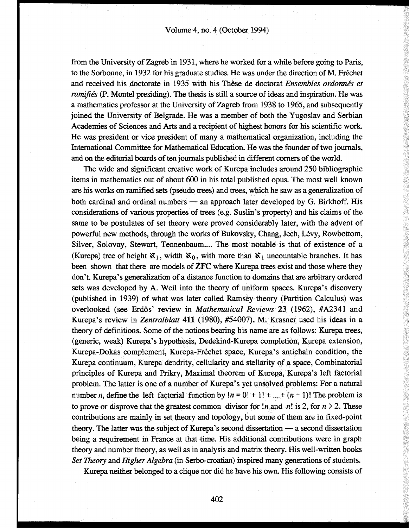from the University of Zagreb in 1931, where he worked for a while before going to Paris, to the Sorbonne, in 1932 for his graduate studies. He was under the direction of M. Fréchet and received his doctorate in 1935 with his Thèse de doctorat *Ensembles ordonnés et ramifiés* (P. Montel presiding). The thesis is still a source of ideas and inspiration. He was a mathematics professor at the University of Zagreb from 1938 to 1965, and subsequently joined the University of Belgrade. He was a member of both the Yugoslav and Serbian Academies of Sciences and Arts and a recipient of highest honors for his scientific work. He was president or vice president of many a mathematical organization, including the International Committee for Mathematical Education. He was the founder of two journals, and on the editorial boards of ten journals published in different comers of the world.

The wide and significant creative work of Kurepa includes around 250 bibliographic items in mathematics out of about 600 in his total published opus. The most well known are his works on ramified sets (pseudo trees) and trees, which he saw as a generalization of both cardinal and ordinal numbers — an approach later developed by G. Birkhoff. His considerations of various properties of trees (e.g. Suslin's property) and his claims of the same to be postulates of set theory were proved considerably later, with the advent of powerful new methods, through the works of Bukovsky, Chang, Jech, Levy, Rowbottom, Silver, Solovay, Stewart, Tennenbaum.... The most notable is that of existence of a (Kurepa) tree of height  $\mathbf{x}_1$ , width  $\mathbf{x}_0$ , with more than  $\mathbf{x}_1$  uncountable branches. It has been shown that there are models of ZFC where Kurepa trees exist and those where they don't. Kurepa's generalization of a distance function to domains that are arbitrary ordered sets was developed by A. Weil into the theory of uniform spaces. Kurepa's discovery (published in 1939) of what was later called Ramsey theory (Partition Calculus) was overlooked (see Erdős' review in *Mathematical Reviews* 23 (1962), #A2341 and Kurepa's review in *Zentralblatt* 411 (1980), #54007). M. Krasner used his ideas in a theory of definitions. Some of the notions bearing his name are as follows: Kurepa trees, (generic, weak) Kurepa's hypothesis, Dedekind-Kurepa completion, Kurepa extension, Kurepa-Dokas complement, Kurepa-Frechet space, Kurepa's antichain condition, the Kurepa continuum, Kurepa dendrity, cellularity and stellarity of a space, Combinatorial principles of Kurepa and Prikry, Maximal theorem of Kurepa, Kurepa's left factorial problem. The latter is one of a number of Kurepa's yet unsolved problems: For a natural number *n*, define the left factorial function by  $\ln = 0! + 1! + ... + (n - 1)!$  The problem is to prove or disprove that the greatest common divisor for  $\ln$  and  $\ln$  is 2, for  $n \ge 2$ . These contributions are mainly in set theory and topology, but some of them are in fixed-point theory. The latter was the subject of Kurepa's second dissertation — a second dissertation being a requirement in France at that time. His additional contributions were in graph theory and number theory, as well as in analysis and matrix theory. His well-written books *Set Theory* and *Higher Algebra* (in Serbo-croatian) inspired many generations of students. Kurepa neither belonged to a clique nor did he have his own. His following consists of